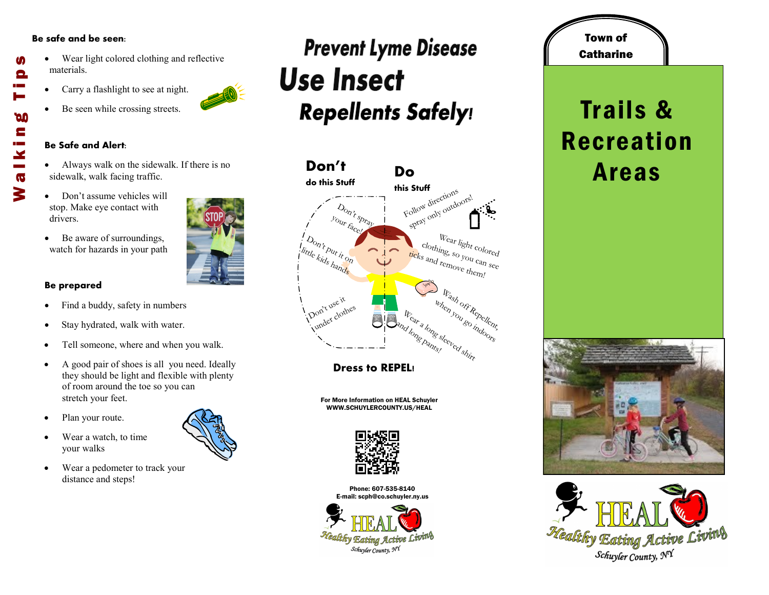### **Be safe and be seen:**

- Wear light colored clothing and reflective materials.
- Carry a flashlight to see at night.
- Be seen while crossing streets.

#### **Be Safe and Alert:**

- Always walk on the sidewalk. If there is no sidewalk, walk facing traffic.
- Don't assume vehicles will stop. Make eye contact with drivers.
- Be aware of surroundings, watch for hazards in your path

### **Be prepared**

- Find a buddy, safety in numbers
- Stay hydrated, walk with water.
- Tell someone, where and when you walk.
- A good pair of shoes is all you need. Ideally they should be light and flexible with plenty of room around the toe so you can stretch your feet.
- Plan your route.
- Wear a watch, to time your walks
- Wear a pedometer to track your distance and steps!

## **Prevent Lyme Disease Use Insect Repellents Safely!**



**Dress to REPEL!** 

For More Information on HEAL Schuyler WWW.SCHUYLERCOUNTY.US/HEAL



Phone: 607-535-8140 E-mail: scph@co.schuyler.ny.us



# **Catharine** Trails & Recreation

Town of









M

Θ